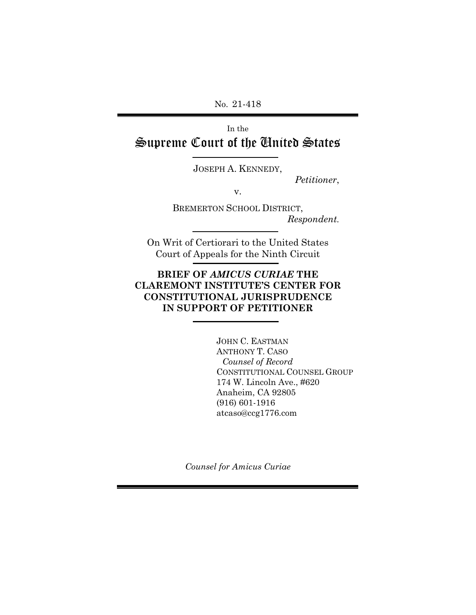No. 21-418

In the Supreme Court of the United States

JOSEPH A. KENNEDY,

*Petitioner*,

v.

BREMERTON SCHOOL DISTRICT, *Respondent.*

On Writ of Certiorari to the United States Court of Appeals for the Ninth Circuit

### **BRIEF OF** *AMICUS CURIAE* **THE CLAREMONT INSTITUTE'S CENTER FOR CONSTITUTIONAL JURISPRUDENCE IN SUPPORT OF PETITIONER**

JOHN C. EASTMAN ANTHONY T. CASO *Counsel of Record* CONSTITUTIONAL COUNSEL GROUP 174 W. Lincoln Ave., #620 Anaheim, CA 92805 (916) 601-1916 atcaso@ccg1776.com

*Counsel for Amicus Curiae*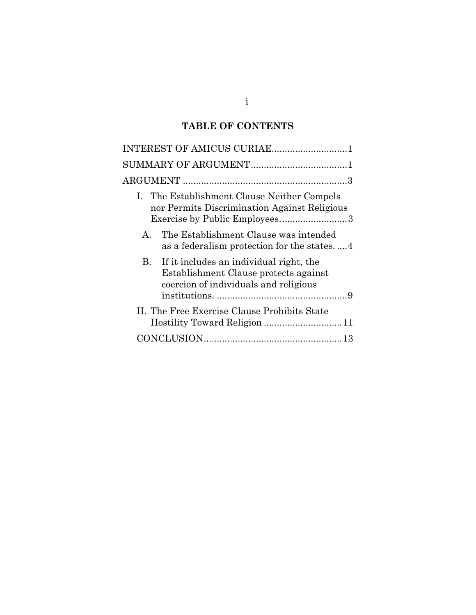# **TABLE OF CONTENTS**

| INTEREST OF AMICUS CURIAE1                                                                                                      |
|---------------------------------------------------------------------------------------------------------------------------------|
|                                                                                                                                 |
|                                                                                                                                 |
| I. The Establishment Clause Neither Compels<br>nor Permits Discrimination Against Religious<br>Exercise by Public Employees3    |
| The Establishment Clause was intended<br>$\mathsf{A}$<br>as a federalism protection for the states4                             |
| If it includes an individual right, the<br>B.<br>Establishment Clause protects against<br>coercion of individuals and religious |
| II. The Free Exercise Clause Prohibits State                                                                                    |
|                                                                                                                                 |

## i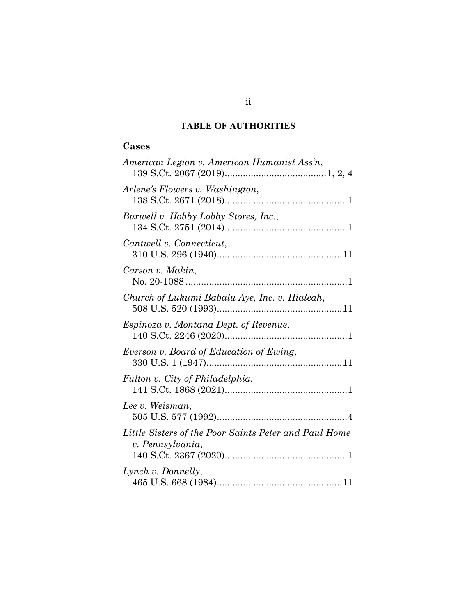## **TABLE OF AUTHORITIES**

## **Cases**

| American Legion v. American Humanist Ass'n,                               |
|---------------------------------------------------------------------------|
| Arlene's Flowers v. Washington,                                           |
| Burwell v. Hobby Lobby Stores, Inc.,                                      |
| Cantwell v. Connecticut,                                                  |
| Carson v. Makin,                                                          |
| Church of Lukumi Babalu Aye, Inc. v. Hialeah,                             |
| Espinoza v. Montana Dept. of Revenue,                                     |
| Everson v. Board of Education of Ewing,                                   |
| Fulton v. City of Philadelphia,                                           |
| Lee v. Weisman,                                                           |
| Little Sisters of the Poor Saints Peter and Paul Home<br>v. Pennsylvania, |
| Lynch v. Donnelly,                                                        |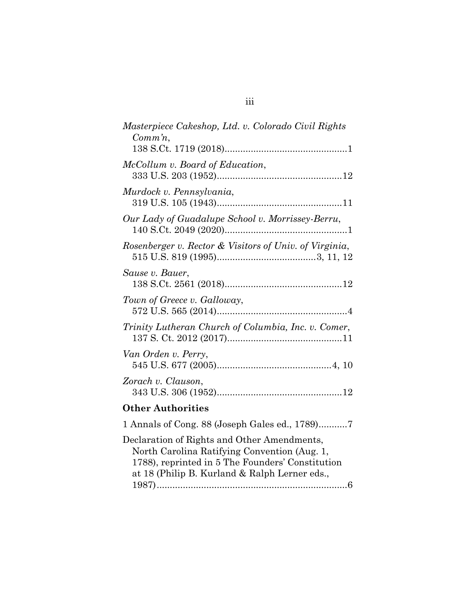| Masterpiece Cakeshop, Ltd. v. Colorado Civil Rights<br>$Comm\, n$ ,                                                                                                                              |
|--------------------------------------------------------------------------------------------------------------------------------------------------------------------------------------------------|
|                                                                                                                                                                                                  |
| McCollum v. Board of Education,                                                                                                                                                                  |
| Murdock v. Pennsylvania,                                                                                                                                                                         |
| Our Lady of Guadalupe School v. Morrissey-Berru,                                                                                                                                                 |
| Rosenberger v. Rector & Visitors of Univ. of Virginia,                                                                                                                                           |
| Sause v. Bauer,                                                                                                                                                                                  |
| Town of Greece v. Galloway,                                                                                                                                                                      |
| Trinity Lutheran Church of Columbia, Inc. v. Comer,                                                                                                                                              |
| Van Orden v. Perry,                                                                                                                                                                              |
| Zorach v. Clauson,                                                                                                                                                                               |
| <b>Other Authorities</b>                                                                                                                                                                         |
| 1 Annals of Cong. 88 (Joseph Gales ed., 1789)7                                                                                                                                                   |
| Declaration of Rights and Other Amendments,<br>North Carolina Ratifying Convention (Aug. 1,<br>1788), reprinted in 5 The Founders' Constitution<br>at 18 (Philip B. Kurland & Ralph Lerner eds., |

| ۰. | ٠ | ٠ |
|----|---|---|
|    |   |   |
|    |   |   |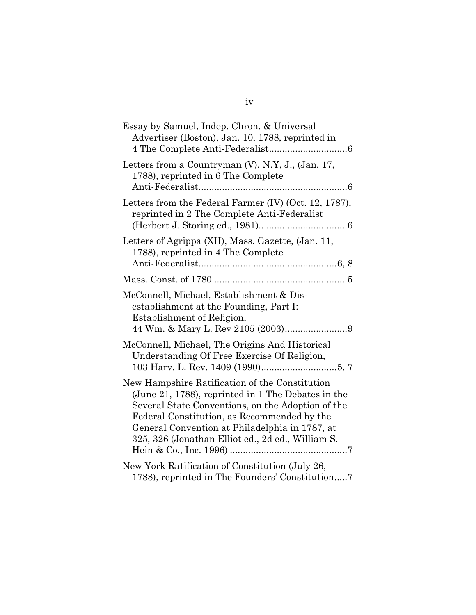| Essay by Samuel, Indep. Chron. & Universal<br>Advertiser (Boston), Jan. 10, 1788, reprinted in                                                                                                                                                                                                                  |
|-----------------------------------------------------------------------------------------------------------------------------------------------------------------------------------------------------------------------------------------------------------------------------------------------------------------|
| Letters from a Countryman (V), N.Y, J., (Jan. 17,<br>1788), reprinted in 6 The Complete                                                                                                                                                                                                                         |
| Letters from the Federal Farmer (IV) (Oct. 12, 1787),<br>reprinted in 2 The Complete Anti-Federalist                                                                                                                                                                                                            |
| Letters of Agrippa (XII), Mass. Gazette, (Jan. 11,<br>1788), reprinted in 4 The Complete                                                                                                                                                                                                                        |
|                                                                                                                                                                                                                                                                                                                 |
| McConnell, Michael, Establishment & Dis-<br>establishment at the Founding, Part I:<br>Establishment of Religion,                                                                                                                                                                                                |
| McConnell, Michael, The Origins And Historical<br>Understanding Of Free Exercise Of Religion,                                                                                                                                                                                                                   |
| New Hampshire Ratification of the Constitution<br>(June 21, 1788), reprinted in 1 The Debates in the<br>Several State Conventions, on the Adoption of the<br>Federal Constitution, as Recommended by the<br>General Convention at Philadelphia in 1787, at<br>325, 326 (Jonathan Elliot ed., 2d ed., William S. |
| New York Ratification of Constitution (July 26,<br>1788), reprinted in The Founders' Constitution7                                                                                                                                                                                                              |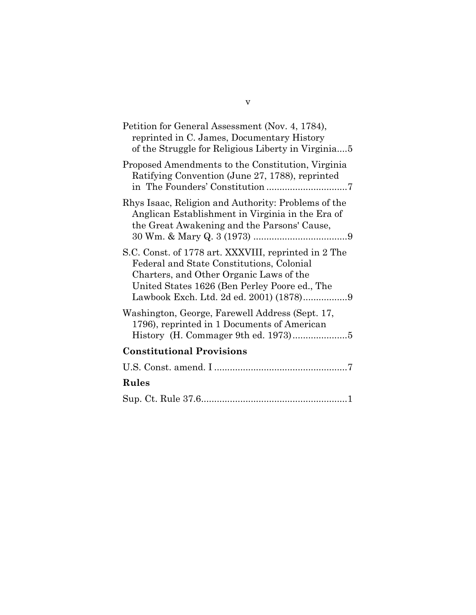| Petition for General Assessment (Nov. 4, 1784),<br>reprinted in C. James, Documentary History<br>of the Struggle for Religious Liberty in Virginia5                                           |
|-----------------------------------------------------------------------------------------------------------------------------------------------------------------------------------------------|
| Proposed Amendments to the Constitution, Virginia<br>Ratifying Convention (June 27, 1788), reprinted                                                                                          |
| Rhys Isaac, Religion and Authority: Problems of the<br>Anglican Establishment in Virginia in the Era of<br>the Great Awakening and the Parsons' Cause,                                        |
| S.C. Const. of 1778 art. XXXVIII, reprinted in 2 The<br>Federal and State Constitutions, Colonial<br>Charters, and Other Organic Laws of the<br>United States 1626 (Ben Perley Poore ed., The |
| Washington, George, Farewell Address (Sept. 17,<br>1796), reprinted in 1 Documents of American                                                                                                |
| <b>Constitutional Provisions</b>                                                                                                                                                              |
|                                                                                                                                                                                               |
| Rules                                                                                                                                                                                         |
|                                                                                                                                                                                               |

v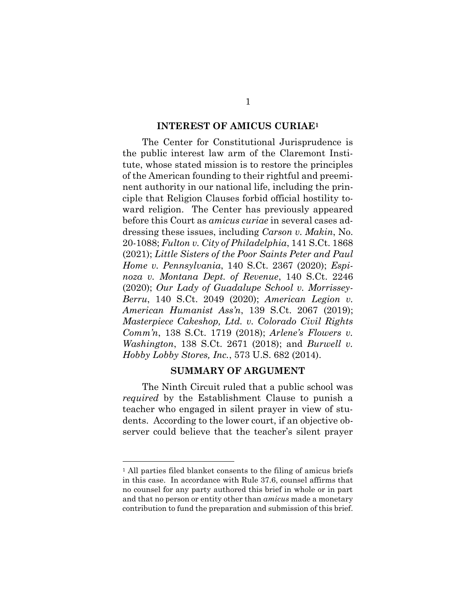#### **INTEREST OF AMICUS CURIAE<sup>1</sup>**

<span id="page-6-0"></span>The Center for Constitutional Jurisprudence is the public interest law arm of the Claremont Institute, whose stated mission is to restore the principles of the American founding to their rightful and preeminent authority in our national life, including the principle that Religion Clauses forbid official hostility toward religion. The Center has previously appeared before this Court as *amicus curiae* in several cases addressing these issues, including *Carson v. Makin*, No. 20-1088; *Fulton v. City of Philadelphia*, 141 S.Ct. 1868 (2021); *Little Sisters of the Poor Saints Peter and Paul Home v. Pennsylvania*, 140 S.Ct. 2367 (2020); *Espinoza v. Montana Dept. of Revenue*, 140 S.Ct. 2246 (2020); *Our Lady of Guadalupe School v. Morrissey-Berru*, 140 S.Ct. 2049 (2020); *American Legion v. American Humanist Ass'n*, 139 S.Ct. 2067 (2019); *Masterpiece Cakeshop, Ltd. v. Colorado Civil Rights Comm'n*, 138 S.Ct. 1719 (2018); *Arlene's Flowers v. Washington*, 138 S.Ct. 2671 (2018); and *Burwell v. Hobby Lobby Stores, Inc.*, 573 U.S. 682 (2014).

#### **SUMMARY OF ARGUMENT**

<span id="page-6-1"></span>The Ninth Circuit ruled that a public school was *required* by the Establishment Clause to punish a teacher who engaged in silent prayer in view of students. According to the lower court, if an objective observer could believe that the teacher's silent prayer

<sup>&</sup>lt;sup>1</sup> All parties filed blanket consents to the filing of amicus briefs in this case. In accordance with Rule 37.6, counsel affirms that no counsel for any party authored this brief in whole or in part and that no person or entity other than *amicus* made a monetary contribution to fund the preparation and submission of this brief.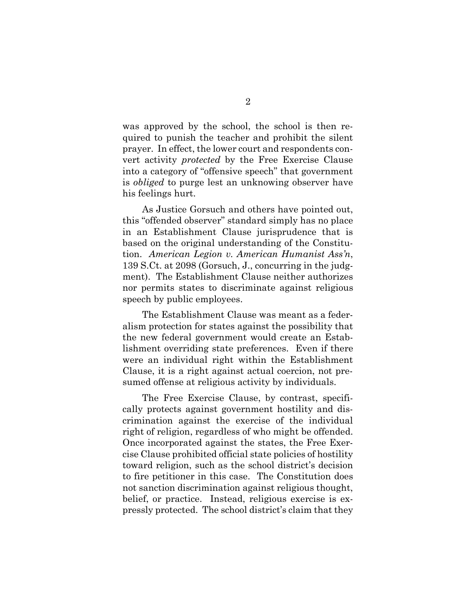was approved by the school, the school is then required to punish the teacher and prohibit the silent prayer. In effect, the lower court and respondents convert activity *protected* by the Free Exercise Clause into a category of "offensive speech" that government is *obliged* to purge lest an unknowing observer have his feelings hurt.

As Justice Gorsuch and others have pointed out, this "offended observer" standard simply has no place in an Establishment Clause jurisprudence that is based on the original understanding of the Constitution. *American Legion v. American Humanist Ass'n*, 139 S.Ct. at 2098 (Gorsuch, J., concurring in the judgment). The Establishment Clause neither authorizes nor permits states to discriminate against religious speech by public employees.

The Establishment Clause was meant as a federalism protection for states against the possibility that the new federal government would create an Establishment overriding state preferences. Even if there were an individual right within the Establishment Clause, it is a right against actual coercion, not presumed offense at religious activity by individuals.

The Free Exercise Clause, by contrast, specifically protects against government hostility and discrimination against the exercise of the individual right of religion, regardless of who might be offended. Once incorporated against the states, the Free Exercise Clause prohibited official state policies of hostility toward religion, such as the school district's decision to fire petitioner in this case. The Constitution does not sanction discrimination against religious thought, belief, or practice. Instead, religious exercise is expressly protected. The school district's claim that they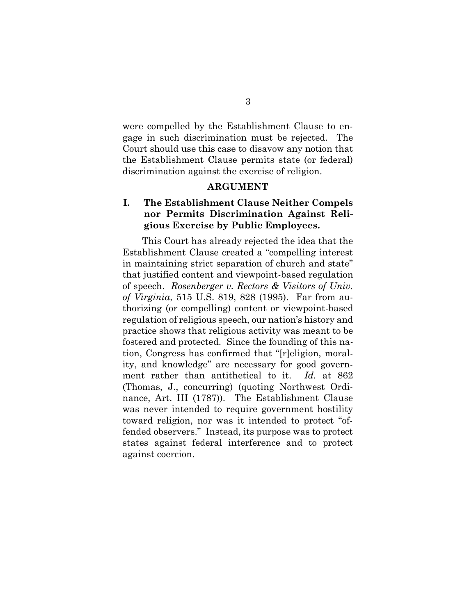were compelled by the Establishment Clause to engage in such discrimination must be rejected. The Court should use this case to disavow any notion that the Establishment Clause permits state (or federal) discrimination against the exercise of religion.

#### **ARGUMENT**

### <span id="page-8-1"></span><span id="page-8-0"></span>**I. The Establishment Clause Neither Compels nor Permits Discrimination Against Religious Exercise by Public Employees.**

This Court has already rejected the idea that the Establishment Clause created a "compelling interest in maintaining strict separation of church and state" that justified content and viewpoint-based regulation of speech. *Rosenberger v. Rectors & Visitors of Univ. of Virginia*, 515 U.S. 819, 828 (1995). Far from authorizing (or compelling) content or viewpoint-based regulation of religious speech, our nation's history and practice shows that religious activity was meant to be fostered and protected. Since the founding of this nation, Congress has confirmed that "[r]eligion, morality, and knowledge" are necessary for good government rather than antithetical to it. *Id.* at 862 (Thomas, J., concurring) (quoting Northwest Ordinance, Art. III (1787)). The Establishment Clause was never intended to require government hostility toward religion, nor was it intended to protect "offended observers." Instead, its purpose was to protect states against federal interference and to protect against coercion.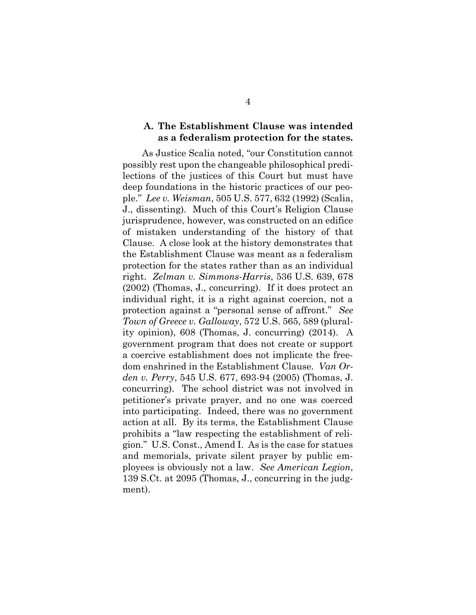#### <span id="page-9-0"></span>**A. The Establishment Clause was intended as a federalism protection for the states.**

As Justice Scalia noted, "our Constitution cannot possibly rest upon the changeable philosophical predilections of the justices of this Court but must have deep foundations in the historic practices of our people." *Lee v. Weisman*, 505 U.S. 577, 632 (1992) (Scalia, J., dissenting). Much of this Court's Religion Clause jurisprudence, however, was constructed on an edifice of mistaken understanding of the history of that Clause. A close look at the history demonstrates that the Establishment Clause was meant as a federalism protection for the states rather than as an individual right. *Zelman v. Simmons-Harris*, 536 U.S. 639, 678 (2002) (Thomas, J., concurring). If it does protect an individual right, it is a right against coercion, not a protection against a "personal sense of affront." *See Town of Greece v. Galloway*, 572 U.S. 565, 589 (plurality opinion), 608 (Thomas, J. concurring) (2014). A government program that does not create or support a coercive establishment does not implicate the freedom enshrined in the Establishment Clause. *Van Orden v. Perry*, 545 U.S. 677, 693-94 (2005) (Thomas, J. concurring). The school district was not involved in petitioner's private prayer, and no one was coerced into participating. Indeed, there was no government action at all. By its terms, the Establishment Clause prohibits a "law respecting the establishment of religion." U.S. Const., Amend I. As is the case for statues and memorials, private silent prayer by public employees is obviously not a law. *See American Legion*, 139 S.Ct. at 2095 (Thomas, J., concurring in the judgment).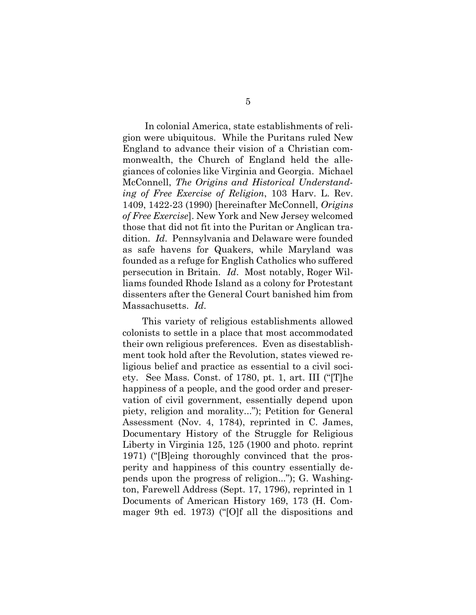In colonial America, state establishments of religion were ubiquitous. While the Puritans ruled New England to advance their vision of a Christian commonwealth, the Church of England held the allegiances of colonies like Virginia and Georgia. Michael McConnell, *The Origins and Historical Understanding of Free Exercise of Religion*, 103 Harv. L. Rev. 1409, 1422-23 (1990) [hereinafter McConnell, *Origins of Free Exercise*]. New York and New Jersey welcomed those that did not fit into the Puritan or Anglican tradition. *Id*. Pennsylvania and Delaware were founded as safe havens for Quakers, while Maryland was founded as a refuge for English Catholics who suffered persecution in Britain. *Id*. Most notably, Roger Williams founded Rhode Island as a colony for Protestant dissenters after the General Court banished him from Massachusetts. *Id*.

This variety of religious establishments allowed colonists to settle in a place that most accommodated their own religious preferences. Even as disestablishment took hold after the Revolution, states viewed religious belief and practice as essential to a civil society. See Mass. Const. of 1780, pt. 1, art. III ("[T]he happiness of a people, and the good order and preservation of civil government, essentially depend upon piety, religion and morality..."); Petition for General Assessment (Nov. 4, 1784), reprinted in C. James, Documentary History of the Struggle for Religious Liberty in Virginia 125, 125 (1900 and photo. reprint 1971) ("[B]eing thoroughly convinced that the prosperity and happiness of this country essentially depends upon the progress of religion..."); G. Washington, Farewell Address (Sept. 17, 1796), reprinted in 1 Documents of American History 169, 173 (H. Commager 9th ed. 1973) ("[O]f all the dispositions and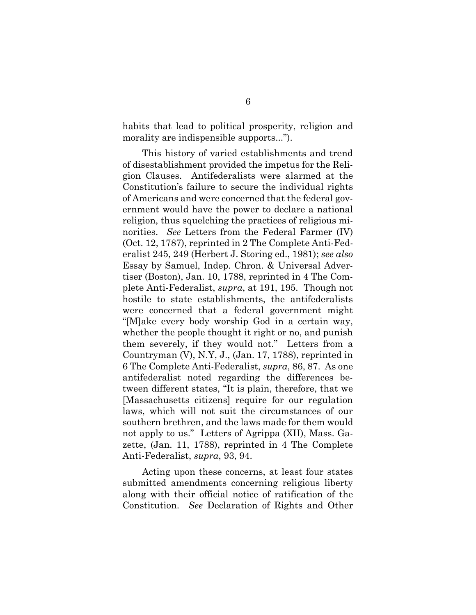habits that lead to political prosperity, religion and morality are indispensible supports...").

This history of varied establishments and trend of disestablishment provided the impetus for the Religion Clauses. Antifederalists were alarmed at the Constitution's failure to secure the individual rights of Americans and were concerned that the federal government would have the power to declare a national religion, thus squelching the practices of religious minorities. *See* Letters from the Federal Farmer (IV) (Oct. 12, 1787), reprinted in 2 The Complete Anti-Federalist 245, 249 (Herbert J. Storing ed., 1981); *see also* Essay by Samuel, Indep. Chron. & Universal Advertiser (Boston), Jan. 10, 1788, reprinted in 4 The Complete Anti-Federalist, *supra*, at 191, 195. Though not hostile to state establishments, the antifederalists were concerned that a federal government might "[M]ake every body worship God in a certain way, whether the people thought it right or no, and punish them severely, if they would not." Letters from a Countryman (V), N.Y, J., (Jan. 17, 1788), reprinted in 6 The Complete Anti-Federalist, *supra*, 86, 87. As one antifederalist noted regarding the differences between different states, "It is plain, therefore, that we [Massachusetts citizens] require for our regulation laws, which will not suit the circumstances of our southern brethren, and the laws made for them would not apply to us." Letters of Agrippa (XII), Mass. Gazette, (Jan. 11, 1788), reprinted in 4 The Complete Anti-Federalist, *supra*, 93, 94.

Acting upon these concerns, at least four states submitted amendments concerning religious liberty along with their official notice of ratification of the Constitution. *See* Declaration of Rights and Other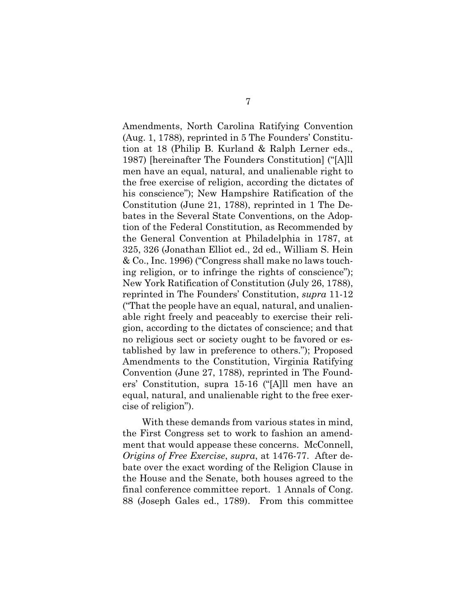Amendments, North Carolina Ratifying Convention (Aug. 1, 1788), reprinted in 5 The Founders' Constitution at 18 (Philip B. Kurland & Ralph Lerner eds., 1987) [hereinafter The Founders Constitution] ("[A]ll men have an equal, natural, and unalienable right to the free exercise of religion, according the dictates of his conscience"); New Hampshire Ratification of the Constitution (June 21, 1788), reprinted in 1 The Debates in the Several State Conventions, on the Adoption of the Federal Constitution, as Recommended by the General Convention at Philadelphia in 1787, at 325, 326 (Jonathan Elliot ed., 2d ed., William S. Hein & Co., Inc. 1996) ("Congress shall make no laws touching religion, or to infringe the rights of conscience"); New York Ratification of Constitution (July 26, 1788), reprinted in The Founders' Constitution, *supra* 11-12 ("That the people have an equal, natural, and unalienable right freely and peaceably to exercise their religion, according to the dictates of conscience; and that no religious sect or society ought to be favored or established by law in preference to others."); Proposed Amendments to the Constitution, Virginia Ratifying Convention (June 27, 1788), reprinted in The Founders' Constitution, supra 15-16 ("[A]ll men have an equal, natural, and unalienable right to the free exercise of religion").

With these demands from various states in mind, the First Congress set to work to fashion an amendment that would appease these concerns. McConnell, *Origins of Free Exercise*, *supra*, at 1476-77. After debate over the exact wording of the Religion Clause in the House and the Senate, both houses agreed to the final conference committee report. 1 Annals of Cong. 88 (Joseph Gales ed., 1789). From this committee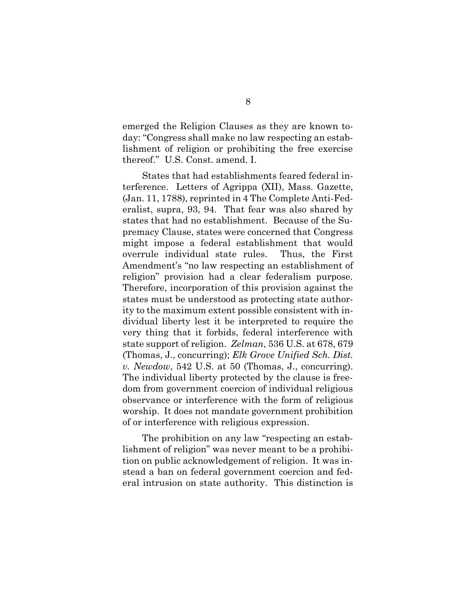emerged the Religion Clauses as they are known today: "Congress shall make no law respecting an establishment of religion or prohibiting the free exercise thereof." U.S. Const. amend. I.

States that had establishments feared federal interference. Letters of Agrippa (XII), Mass. Gazette, (Jan. 11, 1788), reprinted in 4 The Complete Anti-Federalist, supra, 93, 94. That fear was also shared by states that had no establishment. Because of the Supremacy Clause, states were concerned that Congress might impose a federal establishment that would overrule individual state rules. Thus, the First Amendment's "no law respecting an establishment of religion" provision had a clear federalism purpose. Therefore, incorporation of this provision against the states must be understood as protecting state authority to the maximum extent possible consistent with individual liberty lest it be interpreted to require the very thing that it forbids, federal interference with state support of religion. *Zelman*, 536 U.S. at 678, 679 (Thomas, J., concurring); *Elk Grove Unified Sch. Dist. v. Newdow*, 542 U.S. at 50 (Thomas, J., concurring). The individual liberty protected by the clause is freedom from government coercion of individual religious observance or interference with the form of religious worship. It does not mandate government prohibition of or interference with religious expression.

The prohibition on any law "respecting an establishment of religion" was never meant to be a prohibition on public acknowledgement of religion. It was instead a ban on federal government coercion and federal intrusion on state authority. This distinction is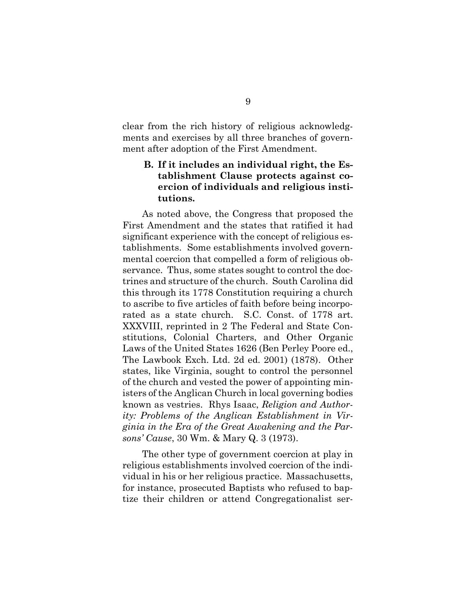clear from the rich history of religious acknowledgments and exercises by all three branches of government after adoption of the First Amendment.

### <span id="page-14-0"></span>**B. If it includes an individual right, the Establishment Clause protects against coercion of individuals and religious institutions.**

As noted above, the Congress that proposed the First Amendment and the states that ratified it had significant experience with the concept of religious establishments. Some establishments involved governmental coercion that compelled a form of religious observance. Thus, some states sought to control the doctrines and structure of the church. South Carolina did this through its 1778 Constitution requiring a church to ascribe to five articles of faith before being incorporated as a state church. S.C. Const. of 1778 art. XXXVIII, reprinted in 2 The Federal and State Constitutions, Colonial Charters, and Other Organic Laws of the United States 1626 (Ben Perley Poore ed., The Lawbook Exch. Ltd. 2d ed. 2001) (1878). Other states, like Virginia, sought to control the personnel of the church and vested the power of appointing ministers of the Anglican Church in local governing bodies known as vestries. Rhys Isaac, *Religion and Authority: Problems of the Anglican Establishment in Virginia in the Era of the Great Awakening and the Parsons' Cause*, 30 Wm. & Mary Q. 3 (1973).

The other type of government coercion at play in religious establishments involved coercion of the individual in his or her religious practice. Massachusetts, for instance, prosecuted Baptists who refused to baptize their children or attend Congregationalist ser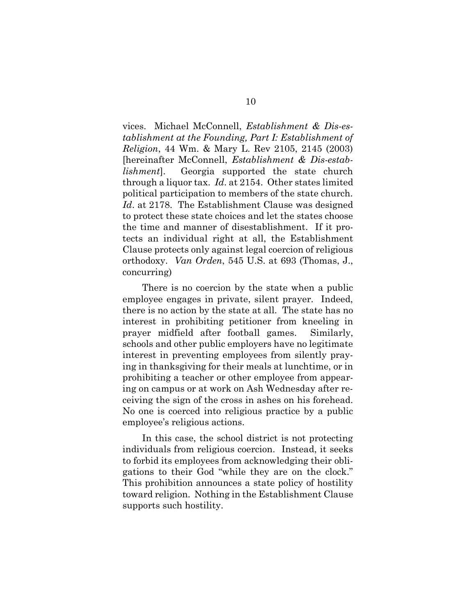vices. Michael McConnell, *Establishment & Dis-establishment at the Founding, Part I: Establishment of Religion*, 44 Wm. & Mary L. Rev 2105, 2145 (2003) [hereinafter McConnell, *Establishment & Dis-establishment*]. Georgia supported the state church through a liquor tax. *Id*. at 2154. Other states limited political participation to members of the state church. *Id*. at 2178. The Establishment Clause was designed to protect these state choices and let the states choose the time and manner of disestablishment. If it protects an individual right at all, the Establishment Clause protects only against legal coercion of religious orthodoxy. *Van Orden*, 545 U.S. at 693 (Thomas, J., concurring)

There is no coercion by the state when a public employee engages in private, silent prayer. Indeed, there is no action by the state at all. The state has no interest in prohibiting petitioner from kneeling in prayer midfield after football games. Similarly, schools and other public employers have no legitimate interest in preventing employees from silently praying in thanksgiving for their meals at lunchtime, or in prohibiting a teacher or other employee from appearing on campus or at work on Ash Wednesday after receiving the sign of the cross in ashes on his forehead. No one is coerced into religious practice by a public employee's religious actions.

In this case, the school district is not protecting individuals from religious coercion. Instead, it seeks to forbid its employees from acknowledging their obligations to their God "while they are on the clock." This prohibition announces a state policy of hostility toward religion. Nothing in the Establishment Clause supports such hostility.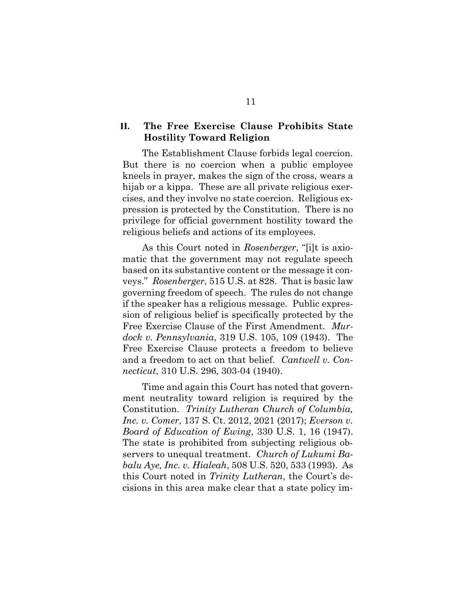### <span id="page-16-0"></span>**II. The Free Exercise Clause Prohibits State Hostility Toward Religion**

The Establishment Clause forbids legal coercion. But there is no coercion when a public employee kneels in prayer, makes the sign of the cross, wears a hijab or a kippa. These are all private religious exercises, and they involve no state coercion. Religious expression is protected by the Constitution. There is no privilege for official government hostility toward the religious beliefs and actions of its employees.

As this Court noted in *Rosenberger*, "[i]t is axiomatic that the government may not regulate speech based on its substantive content or the message it conveys." *Rosenberger*, 515 U.S. at 828. That is basic law governing freedom of speech. The rules do not change if the speaker has a religious message. Public expression of religious belief is specifically protected by the Free Exercise Clause of the First Amendment. *Murdock v. Pennsylvania*, 319 U.S. 105, 109 (1943). The Free Exercise Clause protects a freedom to believe and a freedom to act on that belief. *Cantwell v. Connecticut*, 310 U.S. 296, 303-04 (1940).

Time and again this Court has noted that government neutrality toward religion is required by the Constitution. *Trinity Lutheran Church of Columbia, Inc. v. Comer*, 137 S. Ct. 2012, 2021 (2017); *Everson v. Board of Education of Ewing*, 330 U.S. 1, 16 (1947). The state is prohibited from subjecting religious observers to unequal treatment. *Church of Lukumi Babalu Aye, Inc. v. Hialeah*, 508 U.S. 520, 533 (1993). As this Court noted in *Trinity Lutheran*, the Court's decisions in this area make clear that a state policy im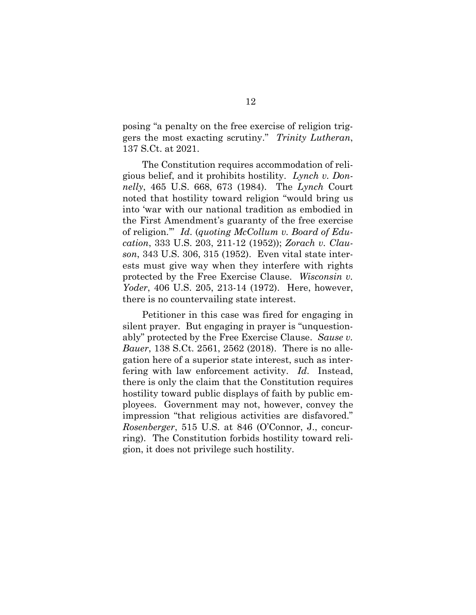posing "a penalty on the free exercise of religion triggers the most exacting scrutiny." *Trinity Lutheran*, 137 S.Ct. at 2021.

The Constitution requires accommodation of religious belief, and it prohibits hostility. *Lynch v. Donnelly*, 465 U.S. 668, 673 (1984). The *Lynch* Court noted that hostility toward religion "would bring us into 'war with our national tradition as embodied in the First Amendment's guaranty of the free exercise of religion.'" *Id*. (*quoting McCollum v. Board of Education*, 333 U.S. 203, 211-12 (1952)); *Zorach v. Clauson*, 343 U.S. 306, 315 (1952). Even vital state interests must give way when they interfere with rights protected by the Free Exercise Clause. *Wisconsin v. Yoder*, 406 U.S. 205, 213-14 (1972). Here, however, there is no countervailing state interest.

<span id="page-17-0"></span>Petitioner in this case was fired for engaging in silent prayer. But engaging in prayer is "unquestionably" protected by the Free Exercise Clause. *Sause v. Bauer*, 138 S.Ct. 2561, 2562 (2018). There is no allegation here of a superior state interest, such as interfering with law enforcement activity. *Id*. Instead, there is only the claim that the Constitution requires hostility toward public displays of faith by public employees. Government may not, however, convey the impression "that religious activities are disfavored." *Rosenberger*, 515 U.S. at 846 (O'Connor, J., concurring). The Constitution forbids hostility toward religion, it does not privilege such hostility.